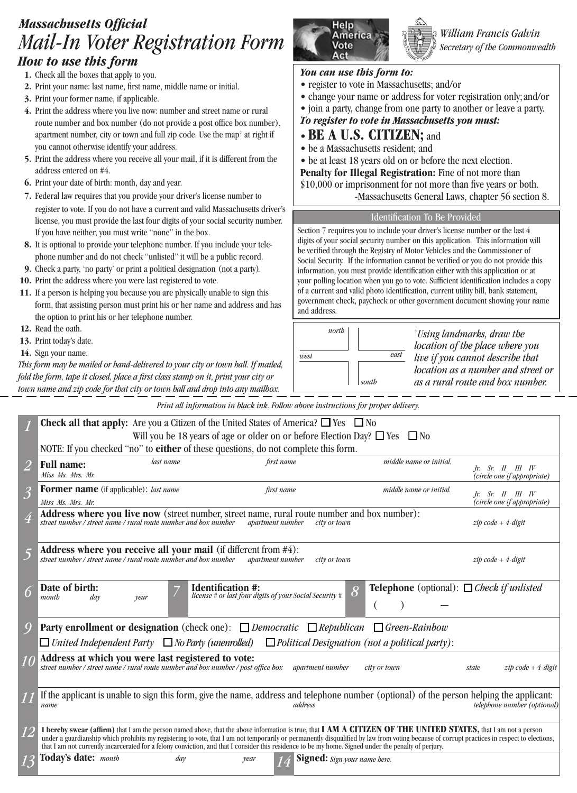# *Mail-In Voter Registration Form Massachusetts Official*<br>*Maxil Jos Valgariaty ation Roussellin* America **America** *William Francis Galvin How to use this form*

- **1.** Check all the boxes that apply to you.
- **2.** Print your name: last name, first name, middle name or initial.
- **3.** Print your former name, if applicable.
- **4.** Print the address where you live now: number and street name or rural route number and box number (do not provide a post office box number), apartment number, city or town and full zip code. Use the map† at right if you cannot otherwise identify your address.
- **5.** Print the address where you receive all your mail, if it is different from the address entered on #4.
- **6.** Print your date of birth: month, day and year.
- **7.** Federal law requires that you provide your driver's license number to register to vote. If you do not have a current and valid Massachusetts driver's license, you must provide the last four digits of your social security number. If you have neither, you must write "none" in the box.
- **8.** It is optional to provide your telephone number. If you include your telephone number and do not check "unlisted" it will be a public record.
- **9.** Check a party, 'no party' or print a political designation (not a party).
- **10.** Print the address where you were last registered to vote.
- **11.** If a person is helping you because you are physically unable to sign this form, that assisting person must print his or her name and address and has the option to print his or her telephone number.
- **12.** Read the oath.
- **13.** Print today's date.
- **14.** Sign your name.

*This form may be mailed or hand-delivered to your city or town hall. If mailed, fold the form, tape it closed, place a first class stamp on it, print your city or town name and zip code for that city or town hall and drop into any mailbox.*



*Secretary of the Commonwealth*

#### *You can use this form to:*

- register to vote in Massachusetts; and/or
- change your name or address for voter registration only; and/or
- join a party, change from one party to another or leave a party.

*To register to vote in Massachusetts you must:*

- **BE A U.S. CITIZEN;** and
- be a Massachusetts resident; and
- be at least 18 years old on or before the next election.
- Penalty for Illegal Registration: Fine of not more than
- \$10,000 or imprisonment for not more than five years or both.
	- -Massachusetts General Laws, chapter 56 section 8.

#### Identification To Be Provided

Section 7 requires you to include your driver's license number or the last 4 digits of your social security number on this application. This information will be verified through the Registry of Motor Vehicles and the Commissioner of Social Security. If the information cannot be verified or you do not provide this information, you must provide identification either with this application or at your polling location when you go to vote. Sufficient identification includes a copy of a current and valid photo identification, current utility bill, bank statement, government check, paycheck or other government document showing your name and address.

| north<br>east<br>west<br>south | <i>Vising landmarks, draw the</i><br>location of the place where you<br>live if you cannot describe that<br>location as a number and street or<br>as a rural route and box number. |
|--------------------------------|------------------------------------------------------------------------------------------------------------------------------------------------------------------------------------|
|--------------------------------|------------------------------------------------------------------------------------------------------------------------------------------------------------------------------------|

*Print all information in black ink. Follow above instructions for proper delivery.*

|                                                                                                                    | <b>Check all that apply:</b> Are you a Citizen of the United States of America? $\Box$ Yes $\Box$ No                                                                                                                                                                                                                                                                                                                                                                                                                  |                          |                                                         |                                     |                         |                                                             |  |  |  |
|--------------------------------------------------------------------------------------------------------------------|-----------------------------------------------------------------------------------------------------------------------------------------------------------------------------------------------------------------------------------------------------------------------------------------------------------------------------------------------------------------------------------------------------------------------------------------------------------------------------------------------------------------------|--------------------------|---------------------------------------------------------|-------------------------------------|-------------------------|-------------------------------------------------------------|--|--|--|
|                                                                                                                    | Will you be 18 years of age or older on or before Election Day? $\Box$ Yes $\Box$ No                                                                                                                                                                                                                                                                                                                                                                                                                                  |                          |                                                         |                                     |                         |                                                             |  |  |  |
|                                                                                                                    | NOTE: If you checked "no" to <i>either</i> of these questions, do not complete this form.                                                                                                                                                                                                                                                                                                                                                                                                                             |                          |                                                         |                                     |                         |                                                             |  |  |  |
| $\overline{2}$                                                                                                     | <b>Full name:</b><br>Miss Ms. Mrs. Mr.                                                                                                                                                                                                                                                                                                                                                                                                                                                                                | last name                | first name                                              |                                     | middle name or initial. | $h$ : $Sr$ . $II$ $III$ $IV$<br>(circle one if appropriate) |  |  |  |
| $\overline{3}$                                                                                                     | Former name (if applicable): last name                                                                                                                                                                                                                                                                                                                                                                                                                                                                                |                          | first name                                              |                                     | middle name or initial. | $h$ : Sr. II III IV                                         |  |  |  |
|                                                                                                                    | Miss Ms. Mrs. Mr.                                                                                                                                                                                                                                                                                                                                                                                                                                                                                                     |                          |                                                         |                                     |                         | (circle one if appropriate)                                 |  |  |  |
| 4                                                                                                                  | Address where you live now (street number, street name, rural route number and box number):<br>street number / street name / rural route number and box number                                                                                                                                                                                                                                                                                                                                                        |                          | apartment number                                        | city or town                        |                         | $zip code + 4-digit$                                        |  |  |  |
|                                                                                                                    | Address where you receive all your mail (if different from $#4$ ):<br>street number / street name / rural route number and box number                                                                                                                                                                                                                                                                                                                                                                                 |                          | apartment number                                        | city or town                        |                         | $zip code + 4-digit$                                        |  |  |  |
| $\delta$                                                                                                           | Date of birth:<br>month<br>day<br>year                                                                                                                                                                                                                                                                                                                                                                                                                                                                                | <b>Identification #:</b> | license # or last four digits of your Social Security # | $ \overline{\mathcal{S}} $          |                         | <b>Telephone</b> (optional): $\Box$ Check if unlisted       |  |  |  |
| 9                                                                                                                  | <b>Party enrollment or designation</b> (check one): $\Box$ <i>Democratic</i> $\Box$ <i>Republican</i> $\Box$ <i>Green-Rainbow</i>                                                                                                                                                                                                                                                                                                                                                                                     |                          |                                                         |                                     |                         |                                                             |  |  |  |
| $\Box$ United Independent Party $\Box$ No Party (unenrolled) $\Box$ Political Designation (not a political party): |                                                                                                                                                                                                                                                                                                                                                                                                                                                                                                                       |                          |                                                         |                                     |                         |                                                             |  |  |  |
|                                                                                                                    | Address at which you were last registered to vote:<br>street number / street name / rural route number and box number / post office box                                                                                                                                                                                                                                                                                                                                                                               |                          |                                                         | <i>apartment number</i>             | city or town            | $zip code + 4-digit$<br>state                               |  |  |  |
|                                                                                                                    | If the applicant is unable to sign this form, give the name, address and telephone number (optional) of the person helping the applicant:<br>name                                                                                                                                                                                                                                                                                                                                                                     |                          | address                                                 |                                     |                         | telephone number (optional)                                 |  |  |  |
| <i>12</i>                                                                                                          | I hereby swear (affirm) that I am the person named above, that the above information is true, that I AM A CITIZEN OF THE UNITED STATES, that I am not a person<br>under a guardianship which prohibits my registering to vote, that I am not temporarily or permanently disqualified by law from voting because of corrupt practices in respect to elections,<br>that I am not currently incarcerated for a felony conviction, and that I consider this residence to be my home. Signed under the penalty of perjury. |                          |                                                         |                                     |                         |                                                             |  |  |  |
|                                                                                                                    | Today's date: month                                                                                                                                                                                                                                                                                                                                                                                                                                                                                                   | day                      | year                                                    | <b>Signed:</b> Sign your name here. |                         |                                                             |  |  |  |